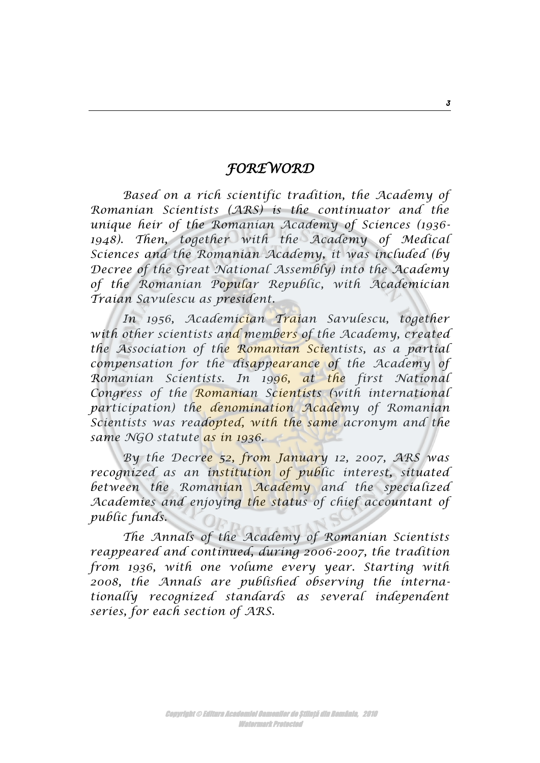## *FOREWORD*

*Based on a rich scientific tradition, the Academy of Romanian Scientists (ARS) is the continuator and the unique heir of the Romanian Academy of Sciences (1936- 1948). Then, together with the Academy of Medical Sciences and the Romanian Academy, it was included (by Decree of the Great National Assembly) into the Academy of the Romanian Popular Republic, with Academician Traian Savulescu as president.*

*In 1956, Academician Traian Savulescu, together with other scientists and members of the Academy, created the Association of the Romanian Scientists, as a partial compensation for the disappearance of the Academy of Romanian Scientists. In 1996, at the first National Congress of the Romanian Scientists (with international participation) the denomination Academy of Romanian Scientists was readopted, with the same acronym and the same NGO statute as in 1936.* 

*By the Decree 52, from January 12, 2007, ARS was recognized as an institution of public interest, situated between the Romanian Academy and the specialized Academies and enjoying the status of chief accountant of public funds.* 

*The Annals of the Academy of Romanian Scientists reappeared and continued, during 2006-2007, the tradition from 1936, with one volume every year. Starting with 2008, the Annals are published observing the internationally recognized standards as several independent series, for each section of ARS.* 

*3*